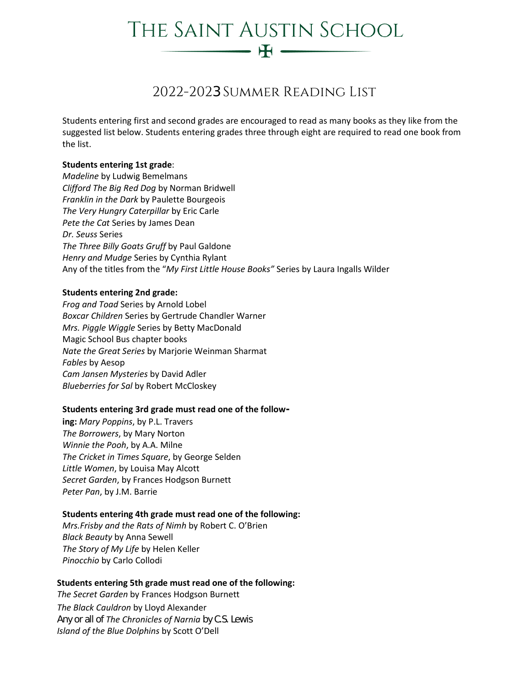# THE SAINT AUSTIN SCHOOL  $-$  H  $-$

# 2022-2023 Summer Reading List

Students entering first and second grades are encouraged to read as many books as they like from the suggested list below. Students entering grades three through eight are required to read one book from the list.

## **Students entering 1st grade**:

*Madeline* by Ludwig Bemelmans *Clifford The Big Red Dog* by Norman Bridwell *Franklin in the Dark* by Paulette Bourgeois *The Very Hungry Caterpillar* by Eric Carle *Pete the Cat* Series by James Dean *Dr. Seuss* Series *The Three Billy Goats Gruff* by Paul Galdone *Henry and Mudge* Series by Cynthia Rylant Any of the titles from the "*My First Little House Books"* Series by Laura Ingalls Wilder

# **Students entering 2nd grade:**

*Frog and Toad* Series by Arnold Lobel *Boxcar Children* Series by Gertrude Chandler Warner *Mrs. Piggle Wiggle* Series by Betty MacDonald Magic School Bus chapter books *Nate the Great Series* by Marjorie Weinman Sharmat *Fables* by Aesop *Cam Jansen Mysteries* by David Adler *Blueberries for Sal* by Robert McCloskey

#### **Students entering 3rd grade must read one of the follow-**

**ing:** *Mary Poppins*, by P.L. Travers *The Borrowers*, by Mary Norton *Winnie the Pooh*, by A.A. Milne *The Cricket in Times Square*, by George Selden *Little Women*, by Louisa May Alcott *Secret Garden*, by Frances Hodgson Burnett *Peter Pan*, by J.M. Barrie

# **Students entering 4th grade must read one of the following:**

*Mrs.Frisby and the Rats of Nimh* by Robert C. O'Brien *Black Beauty* by Anna Sewell *The Story of My Life* by Helen Keller *Pinocchio* by Carlo Collodi

#### **Students entering 5th grade must read one of the following:**

*The Secret Garden* by Frances Hodgson Burnett *The Black Cauldron* by Lloyd Alexander Any or all of *The Chronicles of Narnia* by C.S. Lewis *Island of the Blue Dolphins* by Scott O'Dell